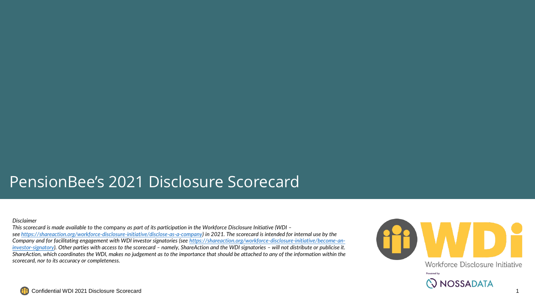## PensionBee's 2021 Disclosure Scorecard

## *Disclaimer*

*This scorecard is made available to* the company *as part of its participation in the Workforce Disclosure Initiative (WDI – see <https://shareaction.org/workforce-disclosure-initiative/disclose-as-a-company>) in 2021. The scorecard is intended for internal use by the [Company and for facilitating engagement with WDI investor signatories \(see](https://shareaction.org/workforce-disclosure-initiative/become-an-investor-signatory) https://shareaction.org/workforce-disclosure-initiative/become-aninvestor-signatory). Other parties with access to the scorecard – namely, ShareAction and the WDI signatories – will not distribute or publicise it. ShareAction, which coordinates the WDI, makes no judgement as to the importance that should be attached to any of the information within the scorecard, nor to its accuracy or completeness.*